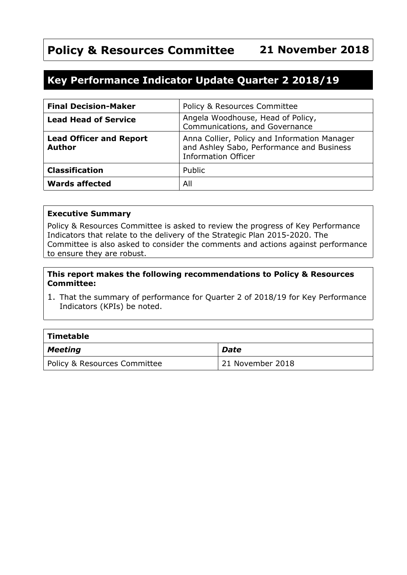# **Policy & Resources Committee 21 November 2018**

## **Key Performance Indicator Update Quarter 2 2018/19**

| <b>Final Decision-Maker</b>                     | Policy & Resources Committee                                                                                            |
|-------------------------------------------------|-------------------------------------------------------------------------------------------------------------------------|
| <b>Lead Head of Service</b>                     | Angela Woodhouse, Head of Policy,<br>Communications, and Governance                                                     |
| <b>Lead Officer and Report</b><br><b>Author</b> | Anna Collier, Policy and Information Manager<br>and Ashley Sabo, Performance and Business<br><b>Information Officer</b> |
| <b>Classification</b>                           | Public                                                                                                                  |
| <b>Wards affected</b>                           | All                                                                                                                     |

#### **Executive Summary**

Policy & Resources Committee is asked to review the progress of Key Performance Indicators that relate to the delivery of the Strategic Plan 2015-2020. The Committee is also asked to consider the comments and actions against performance to ensure they are robust.

#### **This report makes the following recommendations to Policy & Resources Committee:**

1. That the summary of performance for Quarter 2 of 2018/19 for Key Performance Indicators (KPIs) be noted.

| $\mid$ Timetable             |                  |  |  |  |
|------------------------------|------------------|--|--|--|
| $\vert$ Meeting              | Date             |  |  |  |
| Policy & Resources Committee | 21 November 2018 |  |  |  |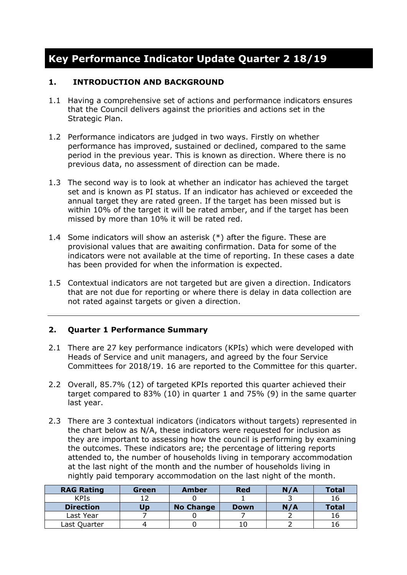# **Key Performance Indicator Update Quarter 2 18/19**

#### **1. INTRODUCTION AND BACKGROUND**

- 1.1 Having a comprehensive set of actions and performance indicators ensures that the Council delivers against the priorities and actions set in the Strategic Plan.
- 1.2 Performance indicators are judged in two ways. Firstly on whether performance has improved, sustained or declined, compared to the same period in the previous year. This is known as direction. Where there is no previous data, no assessment of direction can be made.
- 1.3 The second way is to look at whether an indicator has achieved the target set and is known as PI status. If an indicator has achieved or exceeded the annual target they are rated green. If the target has been missed but is within 10% of the target it will be rated amber, and if the target has been missed by more than 10% it will be rated red.
- 1.4 Some indicators will show an asterisk (\*) after the figure. These are provisional values that are awaiting confirmation. Data for some of the indicators were not available at the time of reporting. In these cases a date has been provided for when the information is expected.
- 1.5 Contextual indicators are not targeted but are given a direction. Indicators that are not due for reporting or where there is delay in data collection are not rated against targets or given a direction.

#### **2. Quarter 1 Performance Summary**

- 2.1 There are 27 key performance indicators (KPIs) which were developed with Heads of Service and unit managers, and agreed by the four Service Committees for 2018/19. 16 are reported to the Committee for this quarter.
- 2.2 Overall, 85.7% (12) of targeted KPIs reported this quarter achieved their target compared to 83% (10) in quarter 1 and 75% (9) in the same quarter last year.
- 2.3 There are 3 contextual indicators (indicators without targets) represented in the chart below as N/A, these indicators were requested for inclusion as they are important to assessing how the council is performing by examining the outcomes. These indicators are; the percentage of littering reports attended to, the number of households living in temporary accommodation at the last night of the month and the number of households living in nightly paid temporary accommodation on the last night of the month.

| <b>RAG Rating</b> | Green | Amber            | <b>Red</b>  | N/A | <b>Total</b> |
|-------------------|-------|------------------|-------------|-----|--------------|
| <b>KPIS</b>       |       |                  |             |     | 16           |
| <b>Direction</b>  | Jɒ    | <b>No Change</b> | <b>Down</b> | N/A | <b>Total</b> |
| Last Year         |       |                  |             |     |              |
| Last Quarter      |       |                  |             |     |              |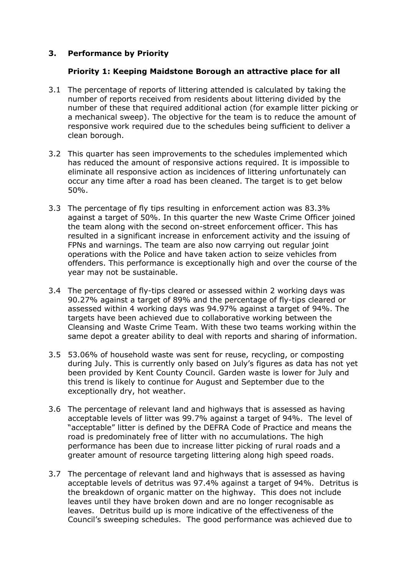#### **3. Performance by Priority**

#### **Priority 1: Keeping Maidstone Borough an attractive place for all**

- 3.1 The percentage of reports of littering attended is calculated by taking the number of reports received from residents about littering divided by the number of these that required additional action (for example litter picking or a mechanical sweep). The objective for the team is to reduce the amount of responsive work required due to the schedules being sufficient to deliver a clean borough.
- 3.2 This quarter has seen improvements to the schedules implemented which has reduced the amount of responsive actions required. It is impossible to eliminate all responsive action as incidences of littering unfortunately can occur any time after a road has been cleaned. The target is to get below 50%.
- 3.3 The percentage of fly tips resulting in enforcement action was 83.3% against a target of 50%. In this quarter the new Waste Crime Officer joined the team along with the second on-street enforcement officer. This has resulted in a significant increase in enforcement activity and the issuing of FPNs and warnings. The team are also now carrying out regular joint operations with the Police and have taken action to seize vehicles from offenders. This performance is exceptionally high and over the course of the year may not be sustainable.
- 3.4 The percentage of fly-tips cleared or assessed within 2 working days was 90.27% against a target of 89% and the percentage of fly-tips cleared or assessed within 4 working days was 94.97% against a target of 94%. The targets have been achieved due to collaborative working between the Cleansing and Waste Crime Team. With these two teams working within the same depot a greater ability to deal with reports and sharing of information.
- 3.5 53.06% of household waste was sent for reuse, recycling, or composting during July. This is currently only based on July's figures as data has not yet been provided by Kent County Council. Garden waste is lower for July and this trend is likely to continue for August and September due to the exceptionally dry, hot weather.
- 3.6 The percentage of relevant land and highways that is assessed as having acceptable levels of litter was 99.7% against a target of 94%. The level of "acceptable" litter is defined by the DEFRA Code of Practice and means the road is predominately free of litter with no accumulations. The high performance has been due to increase litter picking of rural roads and a greater amount of resource targeting littering along high speed roads.
- 3.7 The percentage of relevant land and highways that is assessed as having acceptable levels of detritus was 97.4% against a target of 94%. Detritus is the breakdown of organic matter on the highway. This does not include leaves until they have broken down and are no longer recognisable as leaves. Detritus build up is more indicative of the effectiveness of the Council's sweeping schedules. The good performance was achieved due to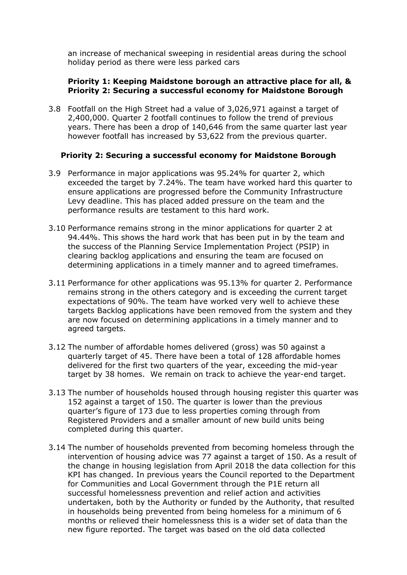an increase of mechanical sweeping in residential areas during the school holiday period as there were less parked cars

#### **Priority 1: Keeping Maidstone borough an attractive place for all, & Priority 2: Securing a successful economy for Maidstone Borough**

3.8 Footfall on the High Street had a value of 3,026,971 against a target of 2,400,000. Quarter 2 footfall continues to follow the trend of previous years. There has been a drop of 140,646 from the same quarter last year however footfall has increased by 53,622 from the previous quarter.

#### **Priority 2: Securing a successful economy for Maidstone Borough**

- 3.9 Performance in major applications was 95.24% for quarter 2, which exceeded the target by 7.24%. The team have worked hard this quarter to ensure applications are progressed before the Community Infrastructure Levy deadline. This has placed added pressure on the team and the performance results are testament to this hard work.
- 3.10 Performance remains strong in the minor applications for quarter 2 at 94.44%. This shows the hard work that has been put in by the team and the success of the Planning Service Implementation Project (PSIP) in clearing backlog applications and ensuring the team are focused on determining applications in a timely manner and to agreed timeframes.
- 3.11 Performance for other applications was 95.13% for quarter 2. Performance remains strong in the others category and is exceeding the current target expectations of 90%. The team have worked very well to achieve these targets Backlog applications have been removed from the system and they are now focused on determining applications in a timely manner and to agreed targets.
- 3.12 The number of affordable homes delivered (gross) was 50 against a quarterly target of 45. There have been a total of 128 affordable homes delivered for the first two quarters of the year, exceeding the mid-year target by 38 homes. We remain on track to achieve the year-end target.
- 3.13 The number of households housed through housing register this quarter was 152 against a target of 150. The quarter is lower than the previous quarter's figure of 173 due to less properties coming through from Registered Providers and a smaller amount of new build units being completed during this quarter.
- 3.14 The number of households prevented from becoming homeless through the intervention of housing advice was 77 against a target of 150. As a result of the change in housing legislation from April 2018 the data collection for this KPI has changed. In previous years the Council reported to the Department for Communities and Local Government through the P1E return all successful homelessness prevention and relief action and activities undertaken, both by the Authority or funded by the Authority, that resulted in households being prevented from being homeless for a minimum of 6 months or relieved their homelessness this is a wider set of data than the new figure reported. The target was based on the old data collected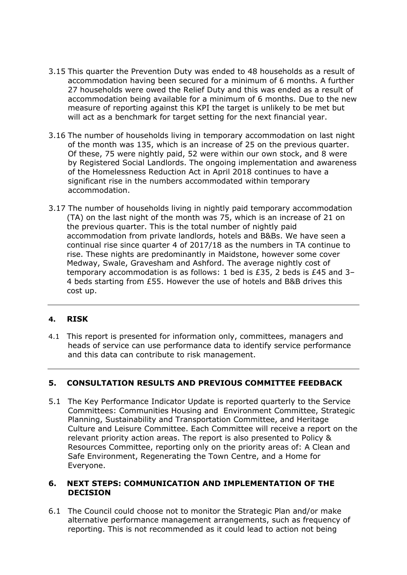- 3.15 This quarter the Prevention Duty was ended to 48 households as a result of accommodation having been secured for a minimum of 6 months. A further 27 households were owed the Relief Duty and this was ended as a result of accommodation being available for a minimum of 6 months. Due to the new measure of reporting against this KPI the target is unlikely to be met but will act as a benchmark for target setting for the next financial year.
- 3.16 The number of households living in temporary accommodation on last night of the month was 135, which is an increase of 25 on the previous quarter. Of these, 75 were nightly paid, 52 were within our own stock, and 8 were by Registered Social Landlords. The ongoing implementation and awareness of the Homelessness Reduction Act in April 2018 continues to have a significant rise in the numbers accommodated within temporary accommodation.
- 3.17 The number of households living in nightly paid temporary accommodation (TA) on the last night of the month was 75, which is an increase of 21 on the previous quarter. This is the total number of nightly paid accommodation from private landlords, hotels and B&Bs. We have seen a continual rise since quarter 4 of 2017/18 as the numbers in TA continue to rise. These nights are predominantly in Maidstone, however some cover Medway, Swale, Gravesham and Ashford. The average nightly cost of temporary accommodation is as follows: 1 bed is £35, 2 beds is £45 and 3– 4 beds starting from £55. However the use of hotels and B&B drives this cost up.

#### **4. RISK**

4.1 This report is presented for information only, committees, managers and heads of service can use performance data to identify service performance and this data can contribute to risk management.

#### **5. CONSULTATION RESULTS AND PREVIOUS COMMITTEE FEEDBACK**

5.1 The Key Performance Indicator Update is reported quarterly to the Service Committees: Communities Housing and Environment Committee, Strategic Planning, Sustainability and Transportation Committee, and Heritage Culture and Leisure Committee. Each Committee will receive a report on the relevant priority action areas. The report is also presented to Policy & Resources Committee, reporting only on the priority areas of: A Clean and Safe Environment, Regenerating the Town Centre, and a Home for Everyone.

#### **6. NEXT STEPS: COMMUNICATION AND IMPLEMENTATION OF THE DECISION**

6.1 The Council could choose not to monitor the Strategic Plan and/or make alternative performance management arrangements, such as frequency of reporting. This is not recommended as it could lead to action not being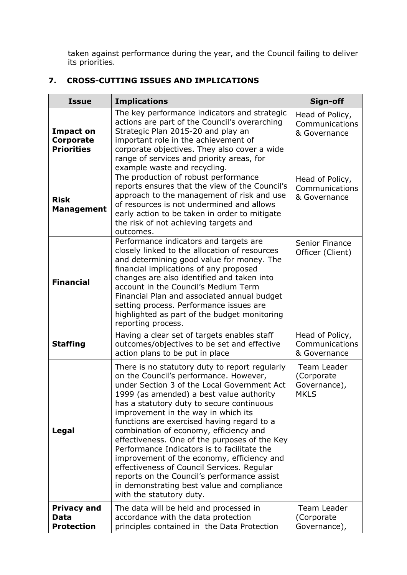taken against performance during the year, and the Council failing to deliver its priorities.

### **7. CROSS-CUTTING ISSUES AND IMPLICATIONS**

| <b>Issue</b>                                           | <b>Implications</b>                                                                                                                                                                                                                                                                                                                                                                                                                                                                                                                                                                                                                                                                  | Sign-off                                                 |
|--------------------------------------------------------|--------------------------------------------------------------------------------------------------------------------------------------------------------------------------------------------------------------------------------------------------------------------------------------------------------------------------------------------------------------------------------------------------------------------------------------------------------------------------------------------------------------------------------------------------------------------------------------------------------------------------------------------------------------------------------------|----------------------------------------------------------|
| <b>Impact on</b><br>Corporate<br><b>Priorities</b>     | The key performance indicators and strategic<br>actions are part of the Council's overarching<br>Strategic Plan 2015-20 and play an<br>important role in the achievement of<br>corporate objectives. They also cover a wide<br>range of services and priority areas, for<br>example waste and recycling.                                                                                                                                                                                                                                                                                                                                                                             | Head of Policy,<br>Communications<br>& Governance        |
| <b>Risk</b><br><b>Management</b>                       | The production of robust performance<br>reports ensures that the view of the Council's<br>approach to the management of risk and use<br>of resources is not undermined and allows<br>early action to be taken in order to mitigate<br>the risk of not achieving targets and<br>outcomes.                                                                                                                                                                                                                                                                                                                                                                                             | Head of Policy,<br>Communications<br>& Governance        |
| <b>Financial</b>                                       | Performance indicators and targets are<br>closely linked to the allocation of resources<br>and determining good value for money. The<br>financial implications of any proposed<br>changes are also identified and taken into<br>account in the Council's Medium Term<br>Financial Plan and associated annual budget<br>setting process. Performance issues are<br>highlighted as part of the budget monitoring<br>reporting process.                                                                                                                                                                                                                                                 | Senior Finance<br>Officer (Client)                       |
| <b>Staffing</b>                                        | Having a clear set of targets enables staff<br>outcomes/objectives to be set and effective<br>action plans to be put in place                                                                                                                                                                                                                                                                                                                                                                                                                                                                                                                                                        | Head of Policy,<br>Communications<br>& Governance        |
| Legal                                                  | There is no statutory duty to report regularly<br>on the Council's performance. However,<br>under Section 3 of the Local Government Act<br>1999 (as amended) a best value authority<br>has a statutory duty to secure continuous<br>improvement in the way in which its<br>functions are exercised having regard to a<br>combination of economy, efficiency and<br>effectiveness. One of the purposes of the Key<br>Performance Indicators is to facilitate the<br>improvement of the economy, efficiency and<br>effectiveness of Council Services. Regular<br>reports on the Council's performance assist<br>in demonstrating best value and compliance<br>with the statutory duty. | Team Leader<br>(Corporate<br>Governance),<br><b>MKLS</b> |
| <b>Privacy and</b><br><b>Data</b><br><b>Protection</b> | The data will be held and processed in<br>accordance with the data protection<br>principles contained in the Data Protection                                                                                                                                                                                                                                                                                                                                                                                                                                                                                                                                                         | Team Leader<br>(Corporate<br>Governance),                |